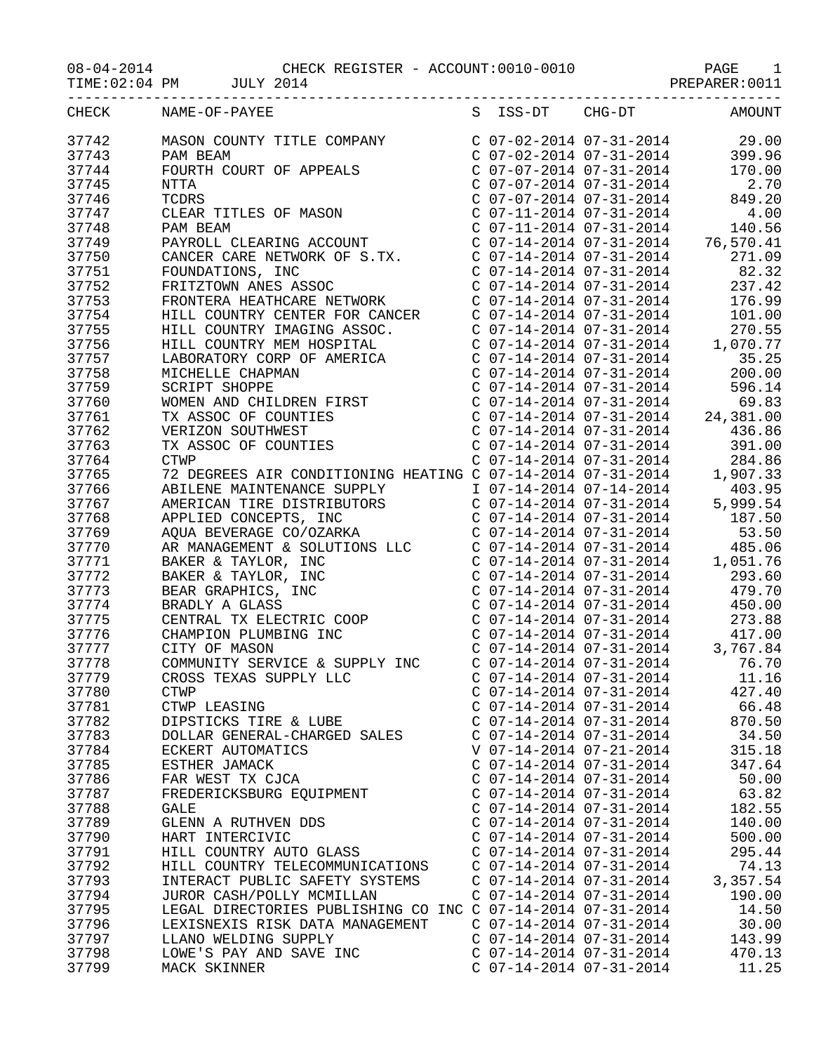| __________________      | $08-04-2014 \quad \mbox{CHECK REGISTER - ACCOUNT:0010-0010 \quad \mbox{PAGE} \quad 1 \nonumber \\ \mbox{TIME:02:04 PM \quad \mbox{JULY 2014} \quad \mbox{}$                                                                                                                                                                                                                                                                 |                                                                                                                                                                               |                                                                                                                                                                                    |
|-------------------------|-----------------------------------------------------------------------------------------------------------------------------------------------------------------------------------------------------------------------------------------------------------------------------------------------------------------------------------------------------------------------------------------------------------------------------|-------------------------------------------------------------------------------------------------------------------------------------------------------------------------------|------------------------------------------------------------------------------------------------------------------------------------------------------------------------------------|
| CHECK                   | NAME-OF-PAYEE                                                                                                                                                                                                                                                                                                                                                                                                               | S ISS-DT CHG-DT                                                                                                                                                               | AMOUNT                                                                                                                                                                             |
| 37742<br>37743<br>37744 | MASON COUNTY TITLE COMPANY<br>PAM BEAM                                                                                                                                                                                                                                                                                                                                                                                      |                                                                                                                                                                               | $\left( \begin{array}{ccc} C & 07-02-2014 & 07-31-2014 & 29.00 \\ C & 07-02-2014 & 07-31-2014 & 399.96 \\ C & 07-07-2014 & 07-31-2014 & 170.00 \end{array} \right)$                |
| 37745<br>37746          | PAM BEAM<br>FOURTH COURT OF APPEALS<br>NTTA<br>TCDRS<br>CLEAR TITLES OF MASON                                                                                                                                                                                                                                                                                                                                               | $C$ 07-07-2014 07-31-2014                                                                                                                                                     | 2.70<br>$C$ 07-07-2014 07-31-2014 849.20                                                                                                                                           |
| 37747<br>37748<br>37749 | PAM BEAM<br>PAYROLL CLEARING ACCOUNT                                                                                                                                                                                                                                                                                                                                                                                        |                                                                                                                                                                               | $\begin{array}{cccc} \text{C} & 07-11-2014 & 07-31-2014 & & 4.00 \\ \text{C} & 07-11-2014 & 07-31-2014 & & 140.56 \\ \text{C} & 07-14-2014 & 07-31-2014 & & 76,570.41 \end{array}$ |
| 37750<br>37751          | CANCER CARE NETWORK OF S.TX. C 07-14-2014 07-31-2014<br>FOUNDATIONS, INC                                                                                                                                                                                                                                                                                                                                                    | $C$ 07-14-2014 07-31-2014                                                                                                                                                     | 271.09<br>82.32                                                                                                                                                                    |
| 37752<br>37753<br>37754 | FRITZTOWN ANES ASSOC<br>FRONTERA HEATHCARE NETWORK<br>HILL COUNTRY CENTER FOR CANCER                                                                                                                                                                                                                                                                                                                                        | $C$ 07-14-2014 07-31-2014                                                                                                                                                     | 237.42<br>$\begin{array}{cccc}\n C & 07-14-2014 & 07-31-2014 & & 176.99 \\  C & 07-14-2014 & 07-31-2014 & & 101.00\n \end{array}$                                                  |
| 37755<br>37756          | HILL COUNTRY IMAGING ASSOC.<br>HILL COUNTRY MEM HOSPITAL                                                                                                                                                                                                                                                                                                                                                                    | $C$ 07-14-2014 07-31-2014                                                                                                                                                     | 270.55<br>$C$ 07-14-2014 07-31-2014 1,070.77                                                                                                                                       |
| 37757<br>37758<br>37759 | LABORATORY CORP OF AMERICA                                                                                                                                                                                                                                                                                                                                                                                                  | C 07-14-2014 07-31-2014<br>C 07-14-2014 07-31-2014<br>C 07-14-2014 07-31-2014                                                                                                 | $C$ 07-14-2014 07-31-2014 35.25<br>200.00<br>596.14                                                                                                                                |
| 37760<br>37761          | LABORATORY CORP OF AMERICA<br>MICHELLE CHAPMAN<br>SCRIPT SHOPPE<br>WOMEN AND CHILDREN FIRST<br>TX ASSOC OF COUNTIES<br>VERIZON SOUTHWEST<br>TX ASSOC OF COUNTIES                                                                                                                                                                                                                                                            |                                                                                                                                                                               | 69.83<br>$C$ 07-14-2014 07-31-2014 24,381.00                                                                                                                                       |
| 37762<br>37763<br>37764 | <b>CTWP</b>                                                                                                                                                                                                                                                                                                                                                                                                                 | C 07-14-2014 07-31-2014<br>$C$ 07-14-2014 07-31-2014<br>$C$ 07-14-2014 07-31-2014                                                                                             | 436.86<br>391.00<br>284.86                                                                                                                                                         |
| 37765<br>37766          | $\begin{array}{ccccccccc}\n & & & & & & & & \\ \hline\n\end{array}\n\begin{array}{ccccccccc}\n & & & & & & \\ \hline\n\end{array}\n\begin{array}{ccccccccc}\n & & & & & \\ \hline\n\end{array}\n\begin{array}{ccccccccc}\n & & & & & \\ \hline\n\end{array}\n\begin{array}{ccccccccc}\n & & & & & \\ \hline\n\end{array}\n\begin{array}{ccccccccc}\n & & & & & \\ \h$<br>ABILENE MAINTENANCE SUPPLY 1 07-14-2014 07-14-2014 |                                                                                                                                                                               | 1,907.33<br>403.95                                                                                                                                                                 |
| 37767<br>37768<br>37769 | AMERICAN TIRE DISTRIBUTORS C 07-14-2014 07-31-2014<br>APPLIED CONCEPTS, INC                                                                                                                                                                                                                                                                                                                                                 |                                                                                                                                                                               | 5,999.54<br>C 07-14-2014 07-31-2014 187.50<br>53.50                                                                                                                                |
| 37770<br>37771          | AQUA BEVERAGE CO/OZARKA<br>AQUA BEVERAGE CO/OZARKA<br>AR MANAGEMENT & SOLUTIONS LLC<br>BAKER & TAYLOR, INC                                                                                                                                                                                                                                                                                                                  | $\begin{array}{llll} \text{C} & 07 - 14 - 2014 & 07 - 31 - 2014 \\ \text{C} & 07 - 14 - 2014 & 07 - 31 - 2014 \\ \text{C} & 07 - 14 - 2014 & 07 - 31 - 2014 & 1, \end{array}$ | 485.06<br>1,051.76                                                                                                                                                                 |
| 37772<br>37773<br>37774 | BAKER & TAYLOR, INC<br>BEAR GRAPHICS, INC<br>BRADLY A GLASS                                                                                                                                                                                                                                                                                                                                                                 | C 07-14-2014 07-31-2014<br>$C$ 07-14-2014 07-31-2014                                                                                                                          | 293.60<br>C $07-14-2014$ $07-31-2014$ 479.70<br>450.00                                                                                                                             |
| 37775<br>37776          | CENTRAL TX ELECTRIC COOP<br>CHAMPION PLUMBING INC<br>CITY OF MASON                                                                                                                                                                                                                                                                                                                                                          |                                                                                                                                                                               | $\begin{array}{cccc}\n C & 07 - 14 - 2014 & 07 - 31 - 2014 & 273.88 \\  C & 07 - 14 - 2014 & 07 - 31 - 2014 & 417.00\n\end{array}$                                                 |
| 37777<br>37778<br>37779 | CITY OF MASON<br>COMMUNITY SERVICE & SUPPLY INC<br>CROSS TEXAS SUPPLY LLC                                                                                                                                                                                                                                                                                                                                                   | $C$ 07-14-2014 07-31-2014<br>$C$ 07-14-2014 07-31-2014<br>$C$ 07-14-2014 07-31-2014                                                                                           | 3,767.84<br>76.70<br>11.16                                                                                                                                                         |
| 37780<br>37781          | <b>CTWP</b><br>CTWP LEASING                                                                                                                                                                                                                                                                                                                                                                                                 | $C$ 07-14-2014 07-31-2014<br>$C$ 07-14-2014 07-31-2014                                                                                                                        | 427.40<br>66.48                                                                                                                                                                    |
| 37782<br>37783<br>37784 | DIPSTICKS TIRE & LUBE<br>DOLLAR GENERAL-CHARGED SALES<br>ECKERT AUTOMATICS                                                                                                                                                                                                                                                                                                                                                  | $C$ 07-14-2014 07-31-2014<br>$C$ 07-14-2014 07-31-2014<br>V 07-14-2014 07-21-2014                                                                                             | 870.50<br>34.50<br>315.18                                                                                                                                                          |
| 37785<br>37786          | ESTHER JAMACK<br>FAR WEST TX CJCA                                                                                                                                                                                                                                                                                                                                                                                           | $C$ 07-14-2014 07-31-2014<br>$C$ 07-14-2014 07-31-2014                                                                                                                        | 347.64<br>50.00                                                                                                                                                                    |
| 37787<br>37788<br>37789 | FREDERICKSBURG EQUIPMENT<br><b>GALE</b><br>GLENN A RUTHVEN DDS                                                                                                                                                                                                                                                                                                                                                              | $C$ 07-14-2014 07-31-2014<br>$C$ 07-14-2014 07-31-2014<br>$C$ 07-14-2014 07-31-2014                                                                                           | 63.82<br>182.55<br>140.00                                                                                                                                                          |
| 37790<br>37791          | HART INTERCIVIC<br>HILL COUNTRY AUTO GLASS                                                                                                                                                                                                                                                                                                                                                                                  | C 07-14-2014 07-31-2014<br>$C$ 07-14-2014 07-31-2014                                                                                                                          | 500.00<br>295.44                                                                                                                                                                   |
| 37792<br>37793<br>37794 | HILL COUNTRY TELECOMMUNICATIONS<br>INTERACT PUBLIC SAFETY SYSTEMS<br>JUROR CASH/POLLY MCMILLAN                                                                                                                                                                                                                                                                                                                              | $C$ 07-14-2014 07-31-2014<br>$C$ 07-14-2014 07-31-2014<br>$C$ 07-14-2014 07-31-2014                                                                                           | 74.13<br>3,357.54<br>190.00                                                                                                                                                        |
| 37795<br>37796          | LEGAL DIRECTORIES PUBLISHING CO INC C 07-14-2014 07-31-2014<br>LEXISNEXIS RISK DATA MANAGEMENT                                                                                                                                                                                                                                                                                                                              | $C$ 07-14-2014 07-31-2014                                                                                                                                                     | 14.50<br>30.00                                                                                                                                                                     |
| 37797<br>37798          | LLANO WELDING SUPPLY<br>LOWE'S PAY AND SAVE INC                                                                                                                                                                                                                                                                                                                                                                             | $C$ 07-14-2014 07-31-2014                                                                                                                                                     | $\begin{array}{cccc}\nC & 07-14-2014 & 07-31-2014 & & 143.99 \\ C & 07-14-2014 & 07-31-2014 & & 470.13\n\end{array}$<br>470.13                                                     |

37799 MACK SKINNER C 07-14-2014 07-31-2014 11.25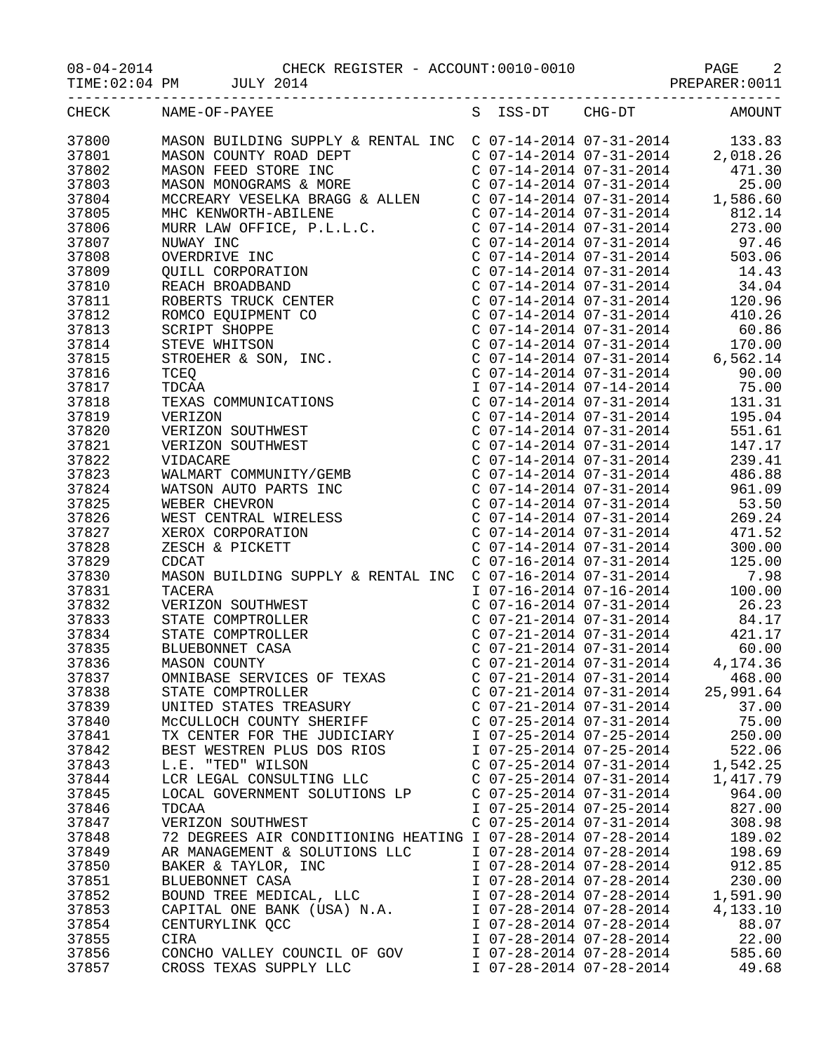08-04-2014 CHECK REGISTER - ACCOUNT:0010-0010 PAGE 2

TIME:02:04 PM JULY 2014 JULY 2014

| CHECK | NAME-OF-PAYEE                                                                                                                                                                                                                                                    |                           | S ISS-DT CHG-DT AMOUNT                                                                                                      |
|-------|------------------------------------------------------------------------------------------------------------------------------------------------------------------------------------------------------------------------------------------------------------------|---------------------------|-----------------------------------------------------------------------------------------------------------------------------|
| 37800 |                                                                                                                                                                                                                                                                  |                           |                                                                                                                             |
| 37801 |                                                                                                                                                                                                                                                                  |                           |                                                                                                                             |
| 37802 |                                                                                                                                                                                                                                                                  |                           |                                                                                                                             |
| 37803 |                                                                                                                                                                                                                                                                  |                           |                                                                                                                             |
|       |                                                                                                                                                                                                                                                                  |                           |                                                                                                                             |
| 37804 |                                                                                                                                                                                                                                                                  |                           |                                                                                                                             |
| 37805 |                                                                                                                                                                                                                                                                  |                           |                                                                                                                             |
| 37806 |                                                                                                                                                                                                                                                                  |                           |                                                                                                                             |
| 37807 |                                                                                                                                                                                                                                                                  |                           |                                                                                                                             |
| 37808 |                                                                                                                                                                                                                                                                  |                           |                                                                                                                             |
| 37809 |                                                                                                                                                                                                                                                                  |                           |                                                                                                                             |
| 37810 |                                                                                                                                                                                                                                                                  |                           |                                                                                                                             |
| 37811 |                                                                                                                                                                                                                                                                  |                           |                                                                                                                             |
| 37812 |                                                                                                                                                                                                                                                                  |                           |                                                                                                                             |
| 37813 |                                                                                                                                                                                                                                                                  |                           |                                                                                                                             |
| 37814 |                                                                                                                                                                                                                                                                  |                           |                                                                                                                             |
| 37815 |                                                                                                                                                                                                                                                                  |                           |                                                                                                                             |
| 37816 |                                                                                                                                                                                                                                                                  |                           |                                                                                                                             |
| 37817 |                                                                                                                                                                                                                                                                  |                           |                                                                                                                             |
| 37818 |                                                                                                                                                                                                                                                                  |                           |                                                                                                                             |
| 37819 |                                                                                                                                                                                                                                                                  |                           |                                                                                                                             |
| 37820 |                                                                                                                                                                                                                                                                  |                           |                                                                                                                             |
| 37821 |                                                                                                                                                                                                                                                                  |                           |                                                                                                                             |
| 37822 |                                                                                                                                                                                                                                                                  |                           |                                                                                                                             |
| 37823 |                                                                                                                                                                                                                                                                  |                           |                                                                                                                             |
| 37824 |                                                                                                                                                                                                                                                                  |                           |                                                                                                                             |
| 37825 |                                                                                                                                                                                                                                                                  |                           |                                                                                                                             |
| 37826 |                                                                                                                                                                                                                                                                  |                           |                                                                                                                             |
| 37827 |                                                                                                                                                                                                                                                                  |                           | C 07-14-2014 07-31-2014<br>C 07-14-2014 07-31-2014 300.00<br>C 07-16-2014 07-31-2014 125.00<br>C 07-16-2014 07-31-2014 7.98 |
| 37828 |                                                                                                                                                                                                                                                                  |                           |                                                                                                                             |
| 37829 | CDCAT                                                                                                                                                                                                                                                            |                           |                                                                                                                             |
| 37830 | MASON BUILDING SUPPLY & RENTAL INC                                                                                                                                                                                                                               |                           |                                                                                                                             |
| 37831 | TACERA                                                                                                                                                                                                                                                           |                           | $107-16-2014$ 07-16-2014 100.00                                                                                             |
| 37832 | TACERA<br>VERIZON SOUTHWEST<br>COMPTROLLER<br>COMPTROLLER<br>COMPTROLLER<br>COMPTROLLER<br>COMPTROLLER<br>COMPTROLLER<br>COMPTROLLER<br>COMPTROLLER<br>COMPTROLLER<br>COMPTROLLER<br>COMPTROLLER<br>COMPTROLLER<br>COMPTROLLER<br>COMPTROLLER<br>COMPTROLLER<br> |                           |                                                                                                                             |
| 37833 |                                                                                                                                                                                                                                                                  |                           |                                                                                                                             |
| 37834 |                                                                                                                                                                                                                                                                  |                           |                                                                                                                             |
| 37835 |                                                                                                                                                                                                                                                                  |                           |                                                                                                                             |
| 37836 | MASON COUNTY                                                                                                                                                                                                                                                     |                           |                                                                                                                             |
| 37837 |                                                                                                                                                                                                                                                                  |                           |                                                                                                                             |
| 37838 | STATE COMPTROLLER                                                                                                                                                                                                                                                |                           | $C$ 07-21-2014 07-31-2014 25,991.64                                                                                         |
| 37839 | UNITED STATES TREASURY                                                                                                                                                                                                                                           | $C$ 07-21-2014 07-31-2014 | 37.00                                                                                                                       |
| 37840 | MCCULLOCH COUNTY SHERIFF                                                                                                                                                                                                                                         | $C$ 07-25-2014 07-31-2014 | 75.00                                                                                                                       |
| 37841 | TX CENTER FOR THE JUDICIARY                                                                                                                                                                                                                                      | I 07-25-2014 07-25-2014   | 250.00                                                                                                                      |
| 37842 | BEST WESTREN PLUS DOS RIOS                                                                                                                                                                                                                                       | I 07-25-2014 07-25-2014   | 522.06                                                                                                                      |
| 37843 | L.E. "TED" WILSON                                                                                                                                                                                                                                                | $C$ 07-25-2014 07-31-2014 | 1,542.25                                                                                                                    |
| 37844 | LCR LEGAL CONSULTING LLC                                                                                                                                                                                                                                         | $C$ 07-25-2014 07-31-2014 | 1,417.79                                                                                                                    |
| 37845 | LOCAL GOVERNMENT SOLUTIONS LP                                                                                                                                                                                                                                    | $C$ 07-25-2014 07-31-2014 | 964.00                                                                                                                      |
| 37846 | TDCAA                                                                                                                                                                                                                                                            | I 07-25-2014 07-25-2014   | 827.00                                                                                                                      |
| 37847 | VERIZON SOUTHWEST                                                                                                                                                                                                                                                | $C$ 07-25-2014 07-31-2014 | 308.98                                                                                                                      |
| 37848 | 72 DEGREES AIR CONDITIONING HEATING I 07-28-2014 07-28-2014                                                                                                                                                                                                      |                           | 189.02                                                                                                                      |
| 37849 | AR MANAGEMENT & SOLUTIONS LLC                                                                                                                                                                                                                                    | I 07-28-2014 07-28-2014   | 198.69                                                                                                                      |
| 37850 | BAKER & TAYLOR, INC                                                                                                                                                                                                                                              | I 07-28-2014 07-28-2014   | 912.85                                                                                                                      |
| 37851 | BLUEBONNET CASA                                                                                                                                                                                                                                                  | I 07-28-2014 07-28-2014   | 230.00                                                                                                                      |
| 37852 | BOUND TREE MEDICAL, LLC                                                                                                                                                                                                                                          | I 07-28-2014 07-28-2014   | 1,591.90                                                                                                                    |
| 37853 | CAPITAL ONE BANK (USA) N.A.                                                                                                                                                                                                                                      | I 07-28-2014 07-28-2014   | 4,133.10                                                                                                                    |
| 37854 | CENTURYLINK QCC                                                                                                                                                                                                                                                  | I 07-28-2014 07-28-2014   | 88.07                                                                                                                       |
| 37855 | CIRA                                                                                                                                                                                                                                                             | I 07-28-2014 07-28-2014   | 22.00                                                                                                                       |
| 37856 |                                                                                                                                                                                                                                                                  | I 07-28-2014 07-28-2014   | 585.60                                                                                                                      |
|       | CONCHO VALLEY COUNCIL OF GOV                                                                                                                                                                                                                                     |                           |                                                                                                                             |

37857 CROSS TEXAS SUPPLY LLC I 07-28-2014 07-28-2014 49.68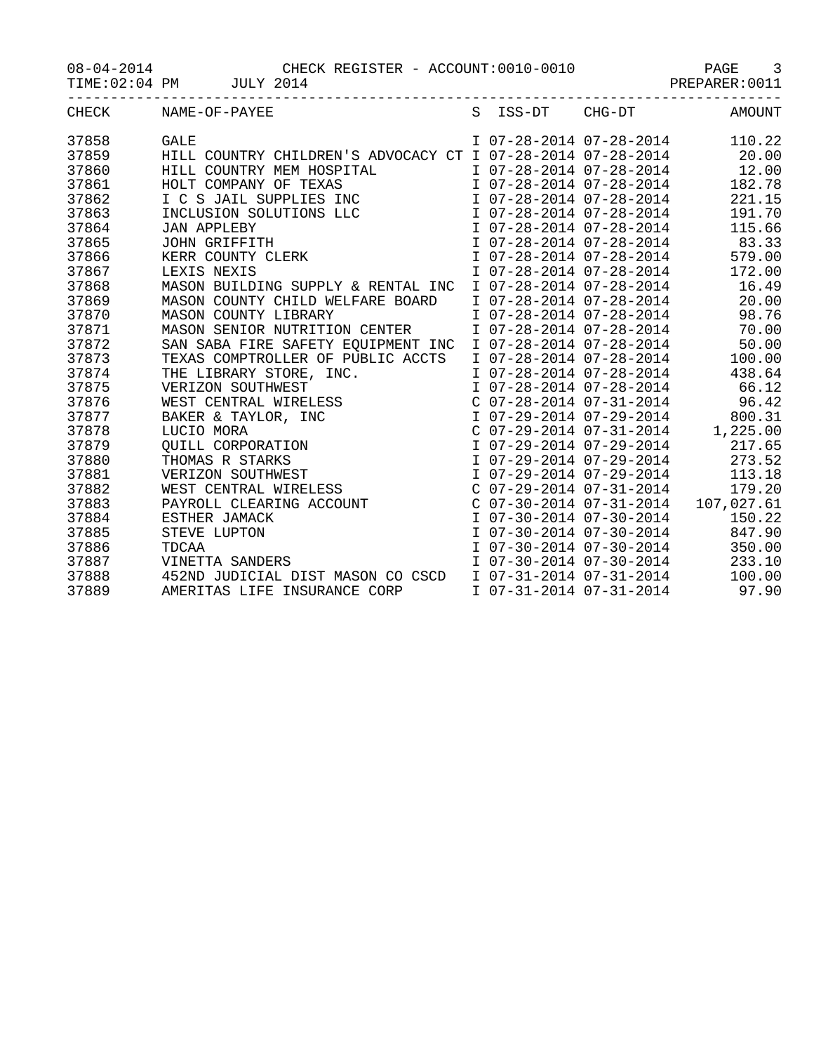08-04-2014 CHECK REGISTER - ACCOUNT:0010-0010 PAGE 3

TIME:02:04 PM JULY 2014 JULY 2014

|       | CHECK NAME-OF-PAYEE                                                                                                                                                                                                                                                             |  |                           | S ISS-DT CHG-DT AMOUNT                                                                                                               |
|-------|---------------------------------------------------------------------------------------------------------------------------------------------------------------------------------------------------------------------------------------------------------------------------------|--|---------------------------|--------------------------------------------------------------------------------------------------------------------------------------|
| 37858 | <b>GALE</b>                                                                                                                                                                                                                                                                     |  |                           | I 07-28-2014 07-28-2014 110.22                                                                                                       |
| 37859 | HILL COUNTRY CHILDREN'S ADVOCACY CT I 07-28-2014 07-28-2014 20.00                                                                                                                                                                                                               |  |                           |                                                                                                                                      |
| 37860 | HILL COUNTRY MEM HOSPITAL<br>HILL COUNTRY MEM HOSPITAL<br>HOLT COMPANY OF TEXAS<br>I C S JAIL SUPPLIES INC<br>I O7-28-2014 07-28-2014<br>INCLUSION SOLUTIONS LLC<br>JAN APPLEBY<br>JOHN GRIFFITH<br>JOHN GRIFFITH<br>I O7-28-2014 07-28-2014<br>I                               |  |                           | I 07-28-2014 07-28-2014 12.00                                                                                                        |
| 37861 |                                                                                                                                                                                                                                                                                 |  |                           | 182.78                                                                                                                               |
| 37862 |                                                                                                                                                                                                                                                                                 |  |                           | 221.15                                                                                                                               |
| 37863 |                                                                                                                                                                                                                                                                                 |  |                           | 191.70                                                                                                                               |
| 37864 |                                                                                                                                                                                                                                                                                 |  |                           | 115.66                                                                                                                               |
| 37865 |                                                                                                                                                                                                                                                                                 |  |                           | I 07-28-2014 07-28-2014 83.33                                                                                                        |
| 37866 |                                                                                                                                                                                                                                                                                 |  |                           | 579.00                                                                                                                               |
| 37867 |                                                                                                                                                                                                                                                                                 |  |                           | 172.00                                                                                                                               |
| 37868 | MASON BUILDING SUPPLY & RENTAL INC                                                                                                                                                                                                                                              |  | I 07-28-2014 07-28-2014   | 16.49                                                                                                                                |
| 37869 | MASON COUNTY CHILD WELFARE BOARD                                                                                                                                                                                                                                                |  | I 07-28-2014 07-28-2014   | 20.00                                                                                                                                |
| 37870 | MASON COUNTY LIBRARY                                                                                                                                                                                                                                                            |  | I 07-28-2014 07-28-2014   | 98.76                                                                                                                                |
| 37871 | MASON SENIOR NUTRITION CENTER                                                                                                                                                                                                                                                   |  |                           | I 07-28-2014 07-28-2014 70.00                                                                                                        |
| 37872 | SAN SABA FIRE SAFETY EQUIPMENT INC                                                                                                                                                                                                                                              |  |                           | I 07-28-2014 07-28-2014 50.00                                                                                                        |
| 37873 | TEXAS COMPTROLLER OF PUBLIC ACCTS                                                                                                                                                                                                                                               |  |                           | I 07-28-2014 07-28-2014 100.00                                                                                                       |
| 37874 |                                                                                                                                                                                                                                                                                 |  |                           | I 07-28-2014 07-28-2014 438.64                                                                                                       |
| 37875 |                                                                                                                                                                                                                                                                                 |  |                           |                                                                                                                                      |
| 37876 |                                                                                                                                                                                                                                                                                 |  |                           | 1 07-28-2014 07-28-2014 66.12<br>C 07-28-2014 07-31-2014 96.42<br>I 07-29-2014 07-31-2014 800.31<br>C 07-29-2014 07-31-2014 1,225.00 |
| 37877 |                                                                                                                                                                                                                                                                                 |  |                           |                                                                                                                                      |
| 37878 |                                                                                                                                                                                                                                                                                 |  |                           |                                                                                                                                      |
| 37879 |                                                                                                                                                                                                                                                                                 |  |                           | I 07-29-2014 07-29-2014 217.65                                                                                                       |
| 37880 |                                                                                                                                                                                                                                                                                 |  | I 07-29-2014 07-29-2014   | 273.52                                                                                                                               |
| 37881 |                                                                                                                                                                                                                                                                                 |  | I 07-29-2014 07-29-2014   | 113.18                                                                                                                               |
| 37882 |                                                                                                                                                                                                                                                                                 |  | $C$ 07-29-2014 07-31-2014 | 179.20                                                                                                                               |
| 37883 |                                                                                                                                                                                                                                                                                 |  |                           | C $07-30-2014$ $07-31-2014$ $107,027.61$                                                                                             |
| 37884 |                                                                                                                                                                                                                                                                                 |  | I 07-30-2014 07-30-2014   | 150.22                                                                                                                               |
| 37885 |                                                                                                                                                                                                                                                                                 |  |                           | I 07-30-2014 07-30-2014 847.90                                                                                                       |
| 37886 |                                                                                                                                                                                                                                                                                 |  |                           | I 07-30-2014 07-30-2014 350.00                                                                                                       |
| 37887 | TEXAS COMPTROLLER OF PUBLIC ACCTS<br>THE LIBRARY STORE, INC.<br>VERIZON SOUTHWEST<br>WEST CENTRAL WIRELESS<br>BAKER & TAYLOR, INC<br>LUCIO MORA<br>QUILL CORPORATION<br>THOMAS R STARKS<br>VERIZON SOUTHWEST<br>WEST CENTRAL WIRELESS<br>PAYROLL CLEARING AC<br>VINETTA SANDERS |  |                           | I 07-30-2014 07-30-2014 233.10                                                                                                       |
| 37888 |                                                                                                                                                                                                                                                                                 |  |                           | 100.00                                                                                                                               |
| 37889 | AMERITAS LIFE INSURANCE CORP                                                                                                                                                                                                                                                    |  |                           | I 07-31-2014 07-31-2014 97.90                                                                                                        |